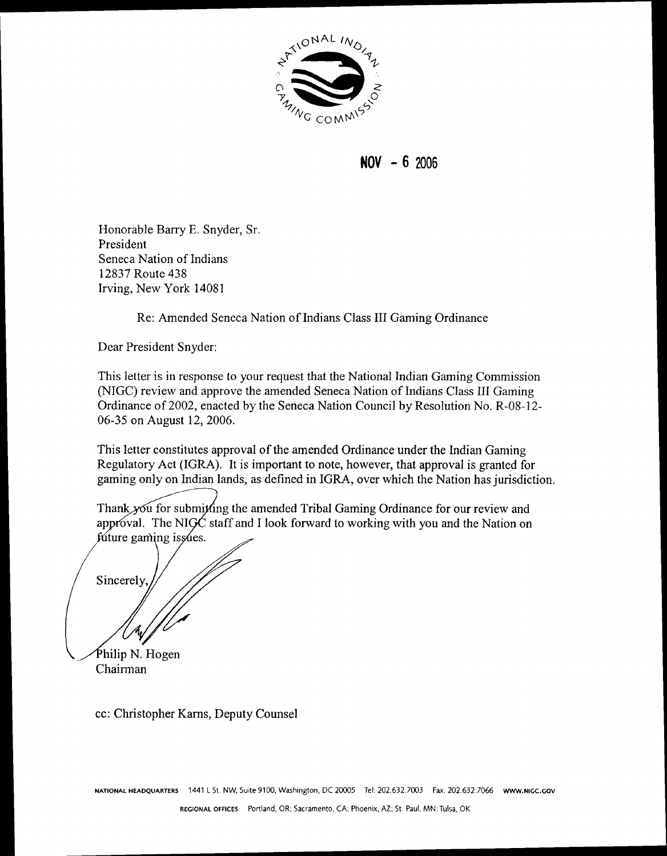

**NOV** - **<sup>6</sup>**<sup>2006</sup>

Honorable Barry E. Snyder, Sr. President Seneca Nation of Indians 12837 Route 438 Irving, New York 1408 1

Re: Amended Seneca Nation of Indians Class I11 Gaming Ordinance

Dear President Snyder:

This letter is in response to your request that the National Indian Gaming Commission (NIGC) review and approve the amended Seneca Nation of Indians Class I11 Gaming Ordinance of 2002, enacted by the Seneca Nation Council by Resolution No. R-08-12- 06-35 on August 12,2006.

This letter constitutes approval of the amended Ordinance under the Indian Gaming Regulatory Act (IGRA). It is important to note, however, that approval is granted for gaming only on Indian lands, as defined in IGRA, over which the Nation has jurisdiction.

Thank you for submitting the amended Tribal Gaming Ordinance for our review and approval. The NIGC staff and I look forward to working with you and the Nation on future gaming issues.

Sincerely

Philip N. Hogen Chairman

cc: Christopher Karns, Deputy Counsel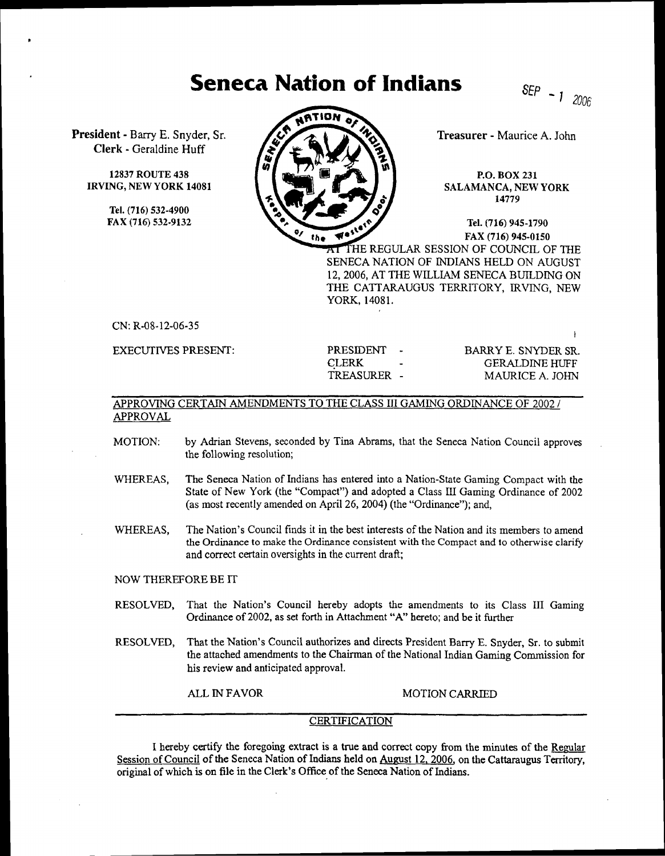## **Seneca Nation of Indians**

SEP  $-1$  2006

**President** - Bany **E.** Snyder, Sr. **Clerk** - Geraldine **Huff** 

> **12837 ROUTE 438 IRVING, NEW YORK 14081**

> > **Tel. (716) 532-4900 FAX (716) 532-9132**



**Treasurer** - Maurice **A.** John

**P.O. BOX 231**  SALAMANCA, NEW **YORK 14779** 

**Tel. (716) 945-1790 FAX (716) 945-0150**  AT THE REGULAR SESSION OF COUNCIL OF THE SENECA NATION OF INDIANS HELD ON AUGUST 12,2006, AT THE WILLIAM SENECA BUILDING ON THE CATTARAUGUS TERRITORY, IRVING, NEW YORK, 14081.

CN: R-08-12-06-35

EXECUTIVES PRESENT:

PRESIDENT - BARRY E. SNYDER SR. CLERK - GERALDINE HUFF<br>TREASURER - MAURICE A. JOHN MAURICE A. JOHN

## APPROVING CERTAIN AMENDMENTS TO THE CLASS III GAMING ORDINANCE OF 2002 / APPROVAL

- MOTION: by Adrian Stevens, seconded by Tina Abrams, that the Seneca Nation Council approves the following resolution;
- WHEREAS, The Seneca Nation of Indians has entered into a Nation-State Gaming Compact with the State of New York (the "Compact") and adopted a Class **U** Gaming Ordinance of 2002 (as most recently amended on April 26,2004) (the "Ordinance"); and,
- WHEREAS, The Nation's Council finds it in the best interests of the Nation and its members to amend the Ordinance to make the Ordinance consistent with the Compact and to otherwise clarify and correct certain oversights in the current draft;

NOW THEREFORE BE **IT** 

- RESOLVED, That the Nation's Council hereby adopts the amendments to its Class I11 Gaming Ordinance of 2002, as set forth in Attachment "A" hereto; and be it further
- RESOLVED, That the Nation's Council authorizes and directs President Bany E. Snyder, Sr. to submit the attached amendments to the Chairman of the National Indian Gaming Commission for his review and anticipated approval.

ALL IN FAVOR MOTION CARRIED

## **CERTIFICATION**

I hereby certify the foregoing extract is a true and correct copy from the minutes of the Regular Session of Council of the Seneca Nation of Indians held on August 12, 2006, on the Cattaraugus Territory, original of which is on file in the Clerk's Office of the Seneca Nation of Indians.